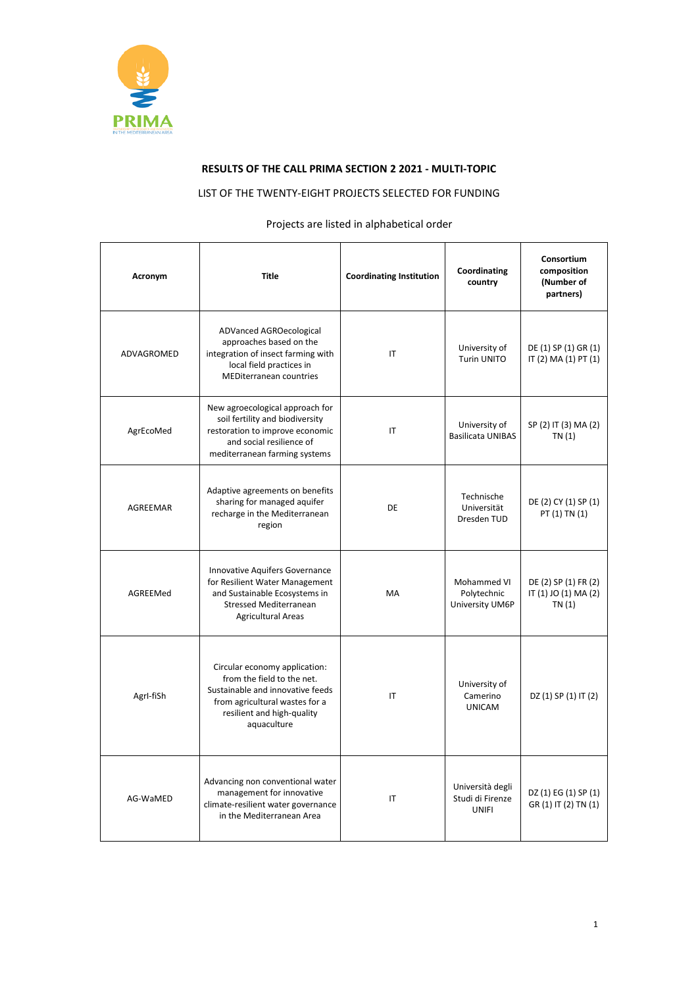

## **RESULTS OF THE CALL PRIMA SECTION 2 2021 - MULTI-TOPIC**

## LIST OF THE TWENTY-EIGHT PROJECTS SELECTED FOR FUNDING

## Projects are listed in alphabetical order

| Acronym    | <b>Title</b>                                                                                                                                                                   | <b>Coordinating Institution</b> | Coordinating<br>country                              | Consortium<br>composition<br>(Number of<br>partners)   |
|------------|--------------------------------------------------------------------------------------------------------------------------------------------------------------------------------|---------------------------------|------------------------------------------------------|--------------------------------------------------------|
| ADVAGROMED | ADVanced AGROecological<br>approaches based on the<br>integration of insect farming with<br>local field practices in<br><b>MEDiterranean countries</b>                         | IT                              | University of<br><b>Turin UNITO</b>                  | DE (1) SP (1) GR (1)<br>IT (2) MA (1) PT (1)           |
| AgrEcoMed  | New agroecological approach for<br>soil fertility and biodiversity<br>restoration to improve economic<br>and social resilience of<br>mediterranean farming systems             | IT                              | University of<br><b>Basilicata UNIBAS</b>            | SP (2) IT (3) MA (2)<br>TN(1)                          |
| AGREEMAR   | Adaptive agreements on benefits<br>sharing for managed aquifer<br>recharge in the Mediterranean<br>region                                                                      | DE                              | Technische<br>Universität<br>Dresden TUD             | DE (2) CY (1) SP (1)<br>PT (1) TN (1)                  |
| AGREEMed   | Innovative Aquifers Governance<br>for Resilient Water Management<br>and Sustainable Ecosystems in<br><b>Stressed Mediterranean</b><br><b>Agricultural Areas</b>                | MA                              | Mohammed VI<br>Polytechnic<br>University UM6P        | DE (2) SP (1) FR (2)<br>IT (1) JO (1) MA (2)<br>TN (1) |
| Agrl-fiSh  | Circular economy application:<br>from the field to the net.<br>Sustainable and innovative feeds<br>from agricultural wastes for a<br>resilient and high-quality<br>aquaculture | IT                              | University of<br>Camerino<br><b>UNICAM</b>           | DZ (1) SP (1) IT (2)                                   |
| AG-WaMED   | Advancing non conventional water<br>management for innovative<br>climate-resilient water governance<br>in the Mediterranean Area                                               | IT                              | Università degli<br>Studi di Firenze<br><b>UNIFI</b> | DZ (1) EG (1) SP (1)<br>GR (1) IT (2) TN (1)           |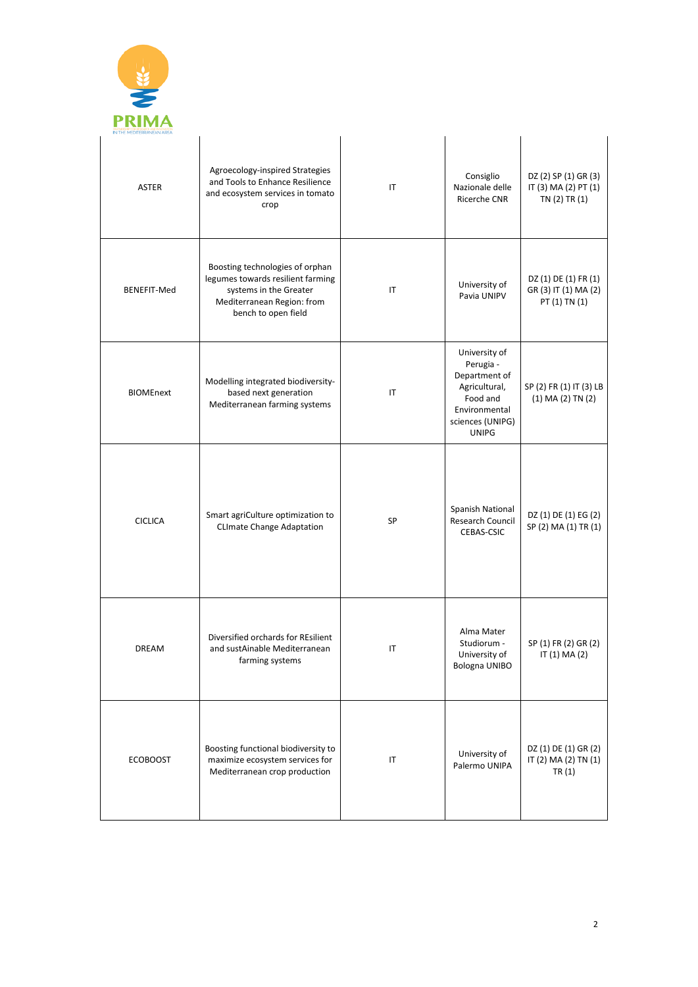

| <b>ASTER</b>     | Agroecology-inspired Strategies<br>and Tools to Enhance Resilience<br>and ecosystem services in tomato<br>crop                                      | IT        | Consiglio<br>Nazionale delle<br><b>Ricerche CNR</b>                                                                           | DZ (2) SP (1) GR (3)<br>IT (3) MA (2) PT (1)<br>TN (2) TR (1) |
|------------------|-----------------------------------------------------------------------------------------------------------------------------------------------------|-----------|-------------------------------------------------------------------------------------------------------------------------------|---------------------------------------------------------------|
| BENEFIT-Med      | Boosting technologies of orphan<br>legumes towards resilient farming<br>systems in the Greater<br>Mediterranean Region: from<br>bench to open field | IT        | University of<br>Pavia UNIPV                                                                                                  | DZ (1) DE (1) FR (1)<br>GR (3) IT (1) MA (2)<br>PT (1) TN (1) |
| <b>BIOMEnext</b> | Modelling integrated biodiversity-<br>based next generation<br>Mediterranean farming systems                                                        | IT        | University of<br>Perugia -<br>Department of<br>Agricultural,<br>Food and<br>Environmental<br>sciences (UNIPG)<br><b>UNIPG</b> | SP (2) FR (1) IT (3) LB<br>$(1)$ MA $(2)$ TN $(2)$            |
| <b>CICLICA</b>   | Smart agriCulture optimization to<br><b>CLImate Change Adaptation</b>                                                                               | <b>SP</b> | Spanish National<br>Research Council<br>CEBAS-CSIC                                                                            | DZ (1) DE (1) EG (2)<br>SP (2) MA (1) TR (1)                  |
| <b>DREAM</b>     | Diversified orchards for REsilient<br>and sustAinable Mediterranean<br>farming systems                                                              | IT        | Alma Mater<br>Studiorum -<br>University of<br>Bologna UNIBO                                                                   | SP (1) FR (2) GR (2)<br>IT (1) MA (2)                         |
| <b>ECOBOOST</b>  | Boosting functional biodiversity to<br>maximize ecosystem services for<br>Mediterranean crop production                                             | $\sf IT$  | University of<br>Palermo UNIPA                                                                                                | DZ (1) DE (1) GR (2)<br>IT (2) MA (2) TN (1)<br>TR(1)         |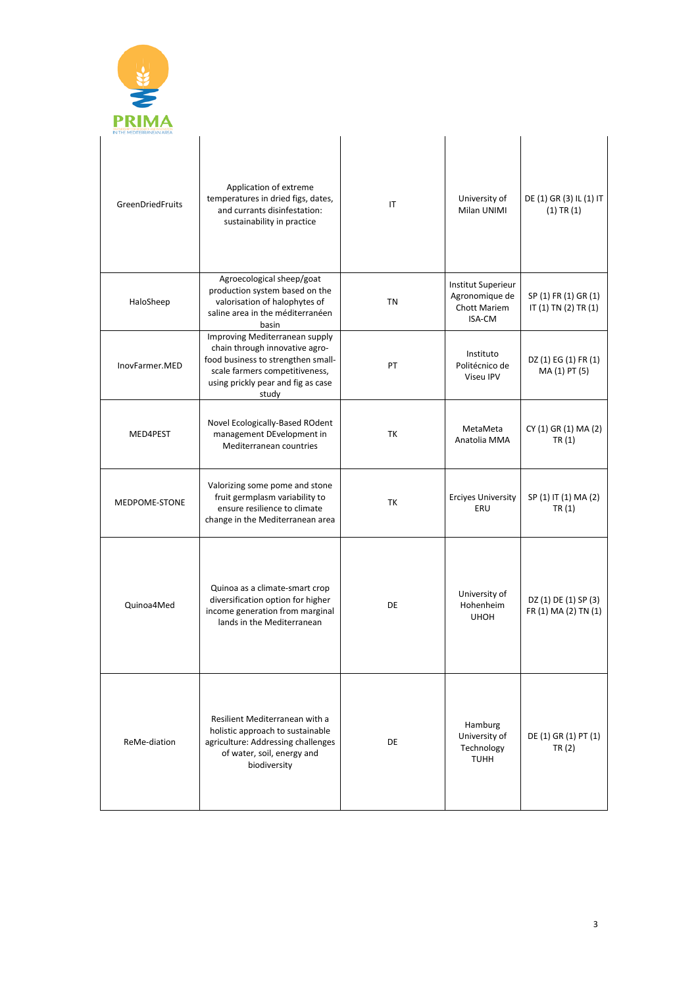

 $\overline{a}$ 

| <b>GreenDriedFruits</b> | Application of extreme<br>temperatures in dried figs, dates,<br>and currants disinfestation:<br>sustainability in practice                                                              | IT        | University of<br>Milan UNIMI                                          | DE (1) GR (3) IL (1) IT<br>$(1)$ TR $(1)$          |
|-------------------------|-----------------------------------------------------------------------------------------------------------------------------------------------------------------------------------------|-----------|-----------------------------------------------------------------------|----------------------------------------------------|
| HaloSheep               | Agroecological sheep/goat<br>production system based on the<br>valorisation of halophytes of<br>saline area in the méditerranéen<br>basin                                               | <b>TN</b> | <b>Institut Superieur</b><br>Agronomique de<br>Chott Mariem<br>ISA-CM | SP (1) FR (1) GR (1)<br>IT $(1)$ TN $(2)$ TR $(1)$ |
| InovFarmer.MED          | Improving Mediterranean supply<br>chain through innovative agro-<br>food business to strengthen small-<br>scale farmers competitiveness,<br>using prickly pear and fig as case<br>study | PT        | Instituto<br>Politécnico de<br>Viseu IPV                              | DZ (1) EG (1) FR (1)<br>MA (1) PT (5)              |
| MED4PEST                | Novel Ecologically-Based ROdent<br>management DEvelopment in<br>Mediterranean countries                                                                                                 | TK        | MetaMeta<br>Anatolia MMA                                              | CY (1) GR (1) MA (2)<br>TR(1)                      |
| MEDPOME-STONE           | Valorizing some pome and stone<br>fruit germplasm variability to<br>ensure resilience to climate<br>change in the Mediterranean area                                                    | TK        | <b>Erciyes University</b><br>ERU                                      | SP (1) IT (1) MA (2)<br>TR(1)                      |
| Quinoa4Med              | Quinoa as a climate-smart crop<br>diversification option for higher<br>income generation from marginal<br>lands in the Mediterranean                                                    | DE        | University of<br>Hohenheim<br><b>UHOH</b>                             | DZ (1) DE (1) SP (3)<br>FR (1) MA (2) TN (1)       |
| ReMe-diation            | Resilient Mediterranean with a<br>holistic approach to sustainable<br>agriculture: Addressing challenges<br>of water, soil, energy and<br>biodiversity                                  | DE        | Hamburg<br>University of<br>Technology<br><b>TUHH</b>                 | DE (1) GR (1) PT (1)<br>TR (2)                     |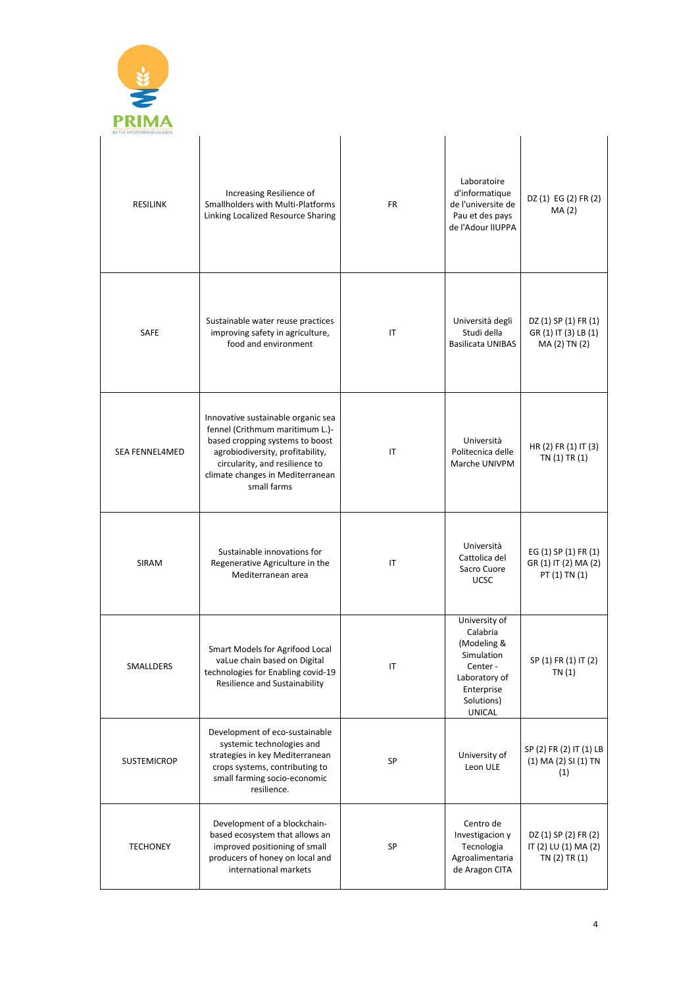

| <b>RESILINK</b>       | Increasing Resilience of<br>Smallholders with Multi-Platforms<br>Linking Localized Resource Sharing                                                                                                                               | <b>FR</b>              | Laboratoire<br>d'informatique<br>de l'universite de<br>Pau et des pays<br>de l'Adour IIUPPA                                     | DZ (1) EG (2) FR (2)<br>MA(2)                                 |
|-----------------------|-----------------------------------------------------------------------------------------------------------------------------------------------------------------------------------------------------------------------------------|------------------------|---------------------------------------------------------------------------------------------------------------------------------|---------------------------------------------------------------|
| <b>SAFE</b>           | Sustainable water reuse practices<br>improving safety in agriculture,<br>food and environment                                                                                                                                     | IT                     | Università degli<br>Studi della<br><b>Basilicata UNIBAS</b>                                                                     | DZ (1) SP (1) FR (1)<br>GR (1) IT (3) LB (1)<br>MA(2) TN(2)   |
| <b>SEA FENNEL4MED</b> | Innovative sustainable organic sea<br>fennel (Crithmum maritimum L.)-<br>based cropping systems to boost<br>agrobiodiversity, profitability,<br>circularity, and resilience to<br>climate changes in Mediterranean<br>small farms | IT                     | Università<br>Politecnica delle<br>Marche UNIVPM                                                                                | HR (2) FR (1) IT (3)<br>TN(1) TR(1)                           |
| <b>SIRAM</b>          | Sustainable innovations for<br>Regenerative Agriculture in the<br>Mediterranean area                                                                                                                                              | IT                     | Università<br>Cattolica del<br>Sacro Cuore<br><b>UCSC</b>                                                                       | EG (1) SP (1) FR (1)<br>GR (1) IT (2) MA (2)<br>PT (1) TN (1) |
| SMALLDERS             | Smart Models for Agrifood Local<br>vaLue chain based on Digital<br>technologies for Enabling covid-19<br><b>Resilience and Sustainability</b>                                                                                     | $\mathsf{I}\mathsf{T}$ | University of<br>Calabria<br>(Modeling &<br>Simulation<br>Center-<br>Laboratory of<br>Enterprise<br>Solutions)<br><b>UNICAL</b> | SP (1) FR (1) IT (2)<br>TN(1)                                 |
| <b>SUSTEMICROP</b>    | Development of eco-sustainable<br>systemic technologies and<br>strategies in key Mediterranean<br>crops systems, contributing to<br>small farming socio-economic<br>resilience.                                                   | SP                     | University of<br>Leon ULE                                                                                                       | SP (2) FR (2) IT (1) LB<br>(1) MA (2) SI (1) TN<br>(1)        |
| <b>TECHONEY</b>       | Development of a blockchain-<br>based ecosystem that allows an<br>improved positioning of small<br>producers of honey on local and<br>international markets                                                                       | SP                     | Centro de<br>Investigacion y<br>Tecnologia<br>Agroalimentaria<br>de Aragon CITA                                                 | DZ (1) SP (2) FR (2)<br>IT (2) LU (1) MA (2)<br>TN(2) TR(1)   |